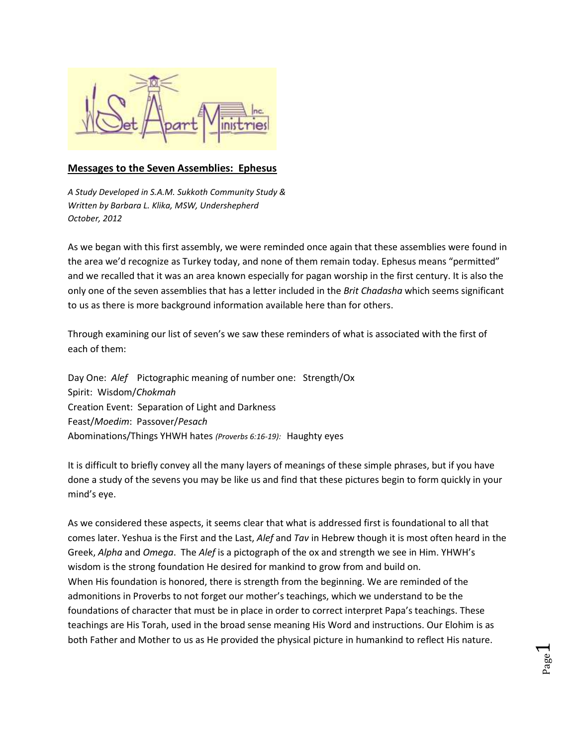

## **Messages to the Seven Assemblies: Ephesus**

*A Study Developed in S.A.M. Sukkoth Community Study & Written by Barbara L. Klika, MSW, Undershepherd October, 2012*

As we began with this first assembly, we were reminded once again that these assemblies were found in the area we'd recognize as Turkey today, and none of them remain today. Ephesus means "permitted" and we recalled that it was an area known especially for pagan worship in the first century. It is also the only one of the seven assemblies that has a letter included in the *Brit Chadasha* which seems significant to us as there is more background information available here than for others.

Through examining our list of seven's we saw these reminders of what is associated with the first of each of them:

Day One: *Alef* Pictographic meaning of number one: Strength/Ox Spirit: Wisdom/*Chokmah* Creation Event: Separation of Light and Darkness Feast/*Moedim*: Passover/*Pesach* Abominations/Things YHWH hates *(Proverbs 6:16-19):* Haughty eyes

It is difficult to briefly convey all the many layers of meanings of these simple phrases, but if you have done a study of the sevens you may be like us and find that these pictures begin to form quickly in your mind's eye.

As we considered these aspects, it seems clear that what is addressed first is foundational to all that comes later. Yeshua is the First and the Last, *Alef* and *Tav* in Hebrew though it is most often heard in the Greek, *Alpha* and *Omega*. The *Alef* is a pictograph of the ox and strength we see in Him. YHWH's wisdom is the strong foundation He desired for mankind to grow from and build on. When His foundation is honored, there is strength from the beginning. We are reminded of the admonitions in Proverbs to not forget our mother's teachings, which we understand to be the foundations of character that must be in place in order to correct interpret Papa's teachings. These teachings are His Torah, used in the broad sense meaning His Word and instructions. Our Elohim is as both Father and Mother to us as He provided the physical picture in humankind to reflect His nature.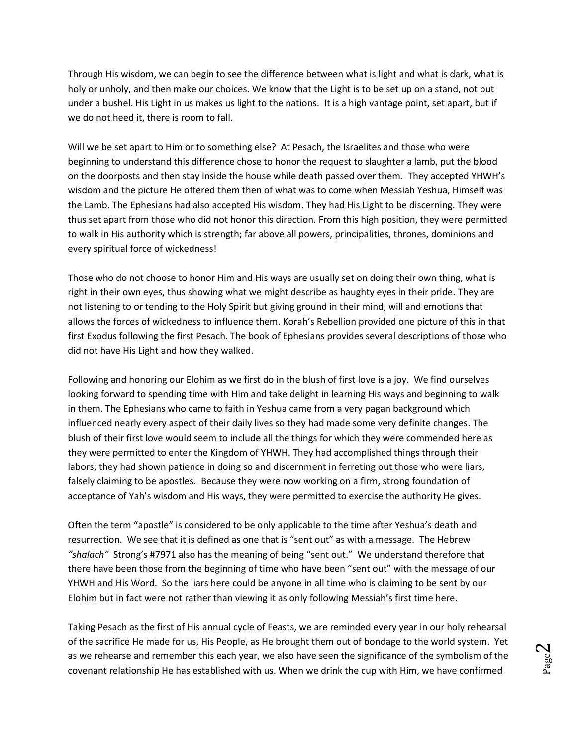Through His wisdom, we can begin to see the difference between what is light and what is dark, what is holy or unholy, and then make our choices. We know that the Light is to be set up on a stand, not put under a bushel. His Light in us makes us light to the nations. It is a high vantage point, set apart, but if we do not heed it, there is room to fall.

Will we be set apart to Him or to something else? At Pesach, the Israelites and those who were beginning to understand this difference chose to honor the request to slaughter a lamb, put the blood on the doorposts and then stay inside the house while death passed over them. They accepted YHWH's wisdom and the picture He offered them then of what was to come when Messiah Yeshua, Himself was the Lamb. The Ephesians had also accepted His wisdom. They had His Light to be discerning. They were thus set apart from those who did not honor this direction. From this high position, they were permitted to walk in His authority which is strength; far above all powers, principalities, thrones, dominions and every spiritual force of wickedness!

Those who do not choose to honor Him and His ways are usually set on doing their own thing, what is right in their own eyes, thus showing what we might describe as haughty eyes in their pride. They are not listening to or tending to the Holy Spirit but giving ground in their mind, will and emotions that allows the forces of wickedness to influence them. Korah's Rebellion provided one picture of this in that first Exodus following the first Pesach. The book of Ephesians provides several descriptions of those who did not have His Light and how they walked.

Following and honoring our Elohim as we first do in the blush of first love is a joy. We find ourselves looking forward to spending time with Him and take delight in learning His ways and beginning to walk in them. The Ephesians who came to faith in Yeshua came from a very pagan background which influenced nearly every aspect of their daily lives so they had made some very definite changes. The blush of their first love would seem to include all the things for which they were commended here as they were permitted to enter the Kingdom of YHWH. They had accomplished things through their labors; they had shown patience in doing so and discernment in ferreting out those who were liars, falsely claiming to be apostles. Because they were now working on a firm, strong foundation of acceptance of Yah's wisdom and His ways, they were permitted to exercise the authority He gives.

Often the term "apostle" is considered to be only applicable to the time after Yeshua's death and resurrection. We see that it is defined as one that is "sent out" as with a message. The Hebrew *"shalach"* Strong's #7971 also has the meaning of being "sent out." We understand therefore that there have been those from the beginning of time who have been "sent out" with the message of our YHWH and His Word. So the liars here could be anyone in all time who is claiming to be sent by our Elohim but in fact were not rather than viewing it as only following Messiah's first time here.

Taking Pesach as the first of His annual cycle of Feasts, we are reminded every year in our holy rehearsal of the sacrifice He made for us, His People, as He brought them out of bondage to the world system. Yet as we rehearse and remember this each year, we also have seen the significance of the symbolism of the covenant relationship He has established with us. When we drink the cup with Him, we have confirmed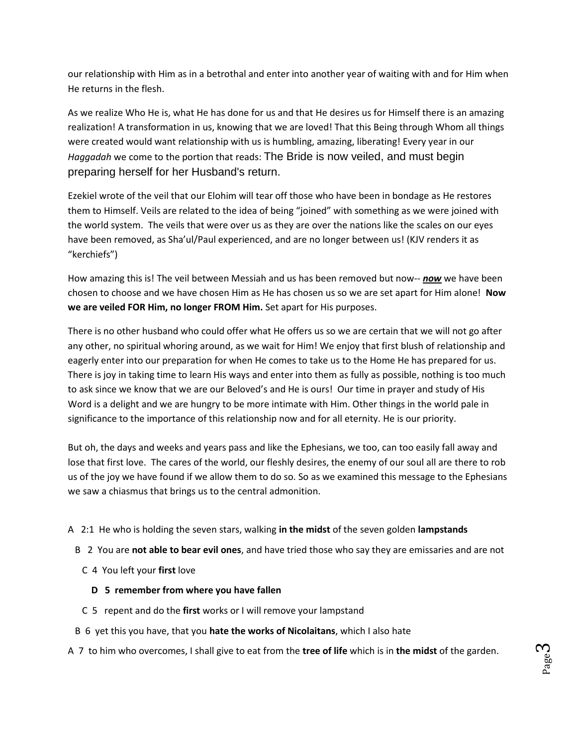our relationship with Him as in a betrothal and enter into another year of waiting with and for Him when He returns in the flesh.

As we realize Who He is, what He has done for us and that He desires us for Himself there is an amazing realization! A transformation in us, knowing that we are loved! That this Being through Whom all things were created would want relationship with us is humbling, amazing, liberating! Every year in our *Haggadah* we come to the portion that reads: The Bride is now veiled, and must begin preparing herself for her Husband's return.

Ezekiel wrote of the veil that our Elohim will tear off those who have been in bondage as He restores them to Himself. Veils are related to the idea of being "joined" with something as we were joined with the world system. The veils that were over us as they are over the nations like the scales on our eyes have been removed, as Sha'ul/Paul experienced, and are no longer between us! (KJV renders it as "kerchiefs")

How amazing this is! The veil between Messiah and us has been removed but now-- **now** we have been chosen to choose and we have chosen Him as He has chosen us so we are set apart for Him alone! **Now we are veiled FOR Him, no longer FROM Him.** Set apart for His purposes.

There is no other husband who could offer what He offers us so we are certain that we will not go after any other, no spiritual whoring around, as we wait for Him! We enjoy that first blush of relationship and eagerly enter into our preparation for when He comes to take us to the Home He has prepared for us. There is joy in taking time to learn His ways and enter into them as fully as possible, nothing is too much to ask since we know that we are our Beloved's and He is ours! Our time in prayer and study of His Word is a delight and we are hungry to be more intimate with Him. Other things in the world pale in significance to the importance of this relationship now and for all eternity. He is our priority.

But oh, the days and weeks and years pass and like the Ephesians, we too, can too easily fall away and lose that first love. The cares of the world, our fleshly desires, the enemy of our soul all are there to rob us of the joy we have found if we allow them to do so. So as we examined this message to the Ephesians we saw a chiasmus that brings us to the central admonition.

- A 2:1 He who is holding the seven stars, walking **in the midst** of the seven golden **lampstands**
- B 2 You are **not able to bear evil ones**, and have tried those who say they are emissaries and are not
	- C 4 You left your **first** love
		- **D 5 remember from where you have fallen**
	- C 5 repent and do the **first** works or I will remove your lampstand
- B 6 yet this you have, that you **hate the works of Nicolaitans**, which I also hate
- A 7 to him who overcomes, I shall give to eat from the **tree of life** which is in **the midst** of the garden.